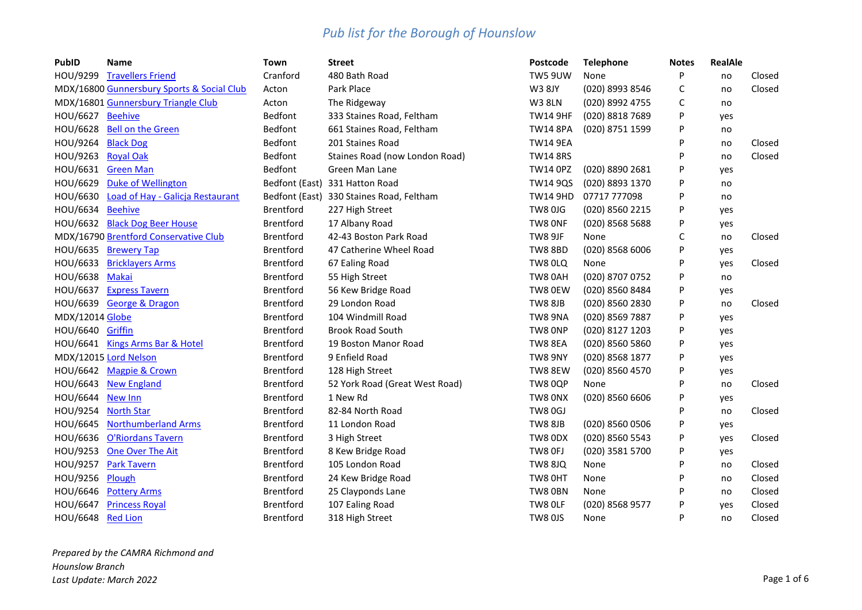| PubID              | Name                                       | Town             | <b>Street</b>                            | <b>Postcode</b> | <b>Telephone</b> | <b>Notes</b> | <b>RealAle</b> |        |
|--------------------|--------------------------------------------|------------------|------------------------------------------|-----------------|------------------|--------------|----------------|--------|
| HOU/9299           | <b>Travellers Friend</b>                   | Cranford         | 480 Bath Road                            | <b>TW5 9UW</b>  | None             | P            | no             | Closed |
|                    | MDX/16800 Gunnersbury Sports & Social Club | Acton            | Park Place                               | <b>W3 8JY</b>   | (020) 8993 8546  | С            | no             | Closed |
|                    | MDX/16801 Gunnersbury Triangle Club        | Acton            | The Ridgeway                             | <b>W3 8LN</b>   | (020) 8992 4755  | С            | no             |        |
| HOU/6627 Beehive   |                                            | Bedfont          | 333 Staines Road, Feltham                | <b>TW14 9HF</b> | (020) 8818 7689  | P            | yes            |        |
|                    | HOU/6628 Bell on the Green                 | <b>Bedfont</b>   | 661 Staines Road, Feltham                | <b>TW14 8PA</b> | (020) 8751 1599  | P            | no             |        |
| HOU/9264 Black Dog |                                            | Bedfont          | 201 Staines Road                         | <b>TW14 9EA</b> |                  | P            | no             | Closed |
| HOU/9263 Royal Oak |                                            | <b>Bedfont</b>   | Staines Road (now London Road)           | <b>TW14 8RS</b> |                  | P            | no             | Closed |
| HOU/6631           | <b>Green Man</b>                           | Bedfont          | Green Man Lane                           | <b>TW14 OPZ</b> | (020) 8890 2681  | P            | yes            |        |
| HOU/6629           | <b>Duke of Wellington</b>                  |                  | Bedfont (East) 331 Hatton Road           | <b>TW14 9QS</b> | (020) 8893 1370  | P            | no             |        |
| HOU/6630           | Load of Hay - Galicja Restaurant           |                  | Bedfont (East) 330 Staines Road, Feltham | <b>TW14 9HD</b> | 07717 777098     | P            | no             |        |
| HOU/6634 Beehive   |                                            | <b>Brentford</b> | 227 High Street                          | <b>TW8 0JG</b>  | (020) 8560 2215  | P            | yes            |        |
|                    | HOU/6632 Black Dog Beer House              | Brentford        | 17 Albany Road                           | TW8 ONF         | (020) 8568 5688  | P            | yes            |        |
|                    | MDX/16790 Brentford Conservative Club      | Brentford        | 42-43 Boston Park Road                   | TW8 9JF         | None             | С            | no             | Closed |
|                    | HOU/6635 Brewery Tap                       | Brentford        | 47 Catherine Wheel Road                  | <b>TW8 8BD</b>  | (020) 8568 6006  | P            | yes            |        |
|                    | HOU/6633 Bricklayers Arms                  | Brentford        | 67 Ealing Road                           | TW8 0LQ         | None             | P            | yes            | Closed |
| HOU/6638           | <b>Makai</b>                               | Brentford        | 55 High Street                           | TW8 0AH         | (020) 8707 0752  | P            | no             |        |
|                    | HOU/6637 Express Tavern                    | Brentford        | 56 Kew Bridge Road                       | TW8 0EW         | (020) 8560 8484  | P            | yes            |        |
|                    | HOU/6639 George & Dragon                   | Brentford        | 29 London Road                           | TW8 8JB         | (020) 8560 2830  | P            | no             | Closed |
| MDX/12014 Globe    |                                            | Brentford        | 104 Windmill Road                        | TW8 9NA         | (020) 8569 7887  | P            | yes            |        |
| HOU/6640 Griffin   |                                            | Brentford        | <b>Brook Road South</b>                  | TW8 ONP         | (020) 8127 1203  | P            | yes            |        |
|                    | HOU/6641 Kings Arms Bar & Hotel            | Brentford        | 19 Boston Manor Road                     | TW8 8EA         | (020) 8560 5860  | P            | yes            |        |
|                    | MDX/12015 Lord Nelson                      | Brentford        | 9 Enfield Road                           | TW8 9NY         | (020) 8568 1877  | P            | yes            |        |
|                    | HOU/6642 Magpie & Crown                    | Brentford        | 128 High Street                          | TW8 8EW         | (020) 8560 4570  | P            | yes            |        |
|                    | HOU/6643 New England                       | Brentford        | 52 York Road (Great West Road)           | <b>TW8 0QP</b>  | None             | P            | no             | Closed |
| HOU/6644           | <b>New Inn</b>                             | Brentford        | 1 New Rd                                 | TW8 0NX         | (020) 8560 6606  | P            | yes            |        |
| HOU/9254           | <b>North Star</b>                          | Brentford        | 82-84 North Road                         | <b>TW8 0GJ</b>  |                  | P            | no             | Closed |
| HOU/6645           | <b>Northumberland Arms</b>                 | Brentford        | 11 London Road                           | <b>TW8 8JB</b>  | (020) 8560 0506  | P            | yes            |        |
| HOU/6636           | O'Riordans Tavern                          | Brentford        | 3 High Street                            | TW8 0DX         | (020) 8560 5543  | P            | yes            | Closed |
| HOU/9253           | One Over The Ait                           | Brentford        | 8 Kew Bridge Road                        | TW8 OFJ         | (020) 3581 5700  | P            | yes            |        |
| HOU/9257           | <b>Park Tavern</b>                         | Brentford        | 105 London Road                          | <b>TW8 8JQ</b>  | None             | P            | no             | Closed |
| HOU/9256           | Plough                                     | Brentford        | 24 Kew Bridge Road                       | TW8 0HT         | None             | P            | no             | Closed |
| HOU/6646           | <b>Pottery Arms</b>                        | Brentford        | 25 Clayponds Lane                        | TW8 0BN         | None             | P            | no             | Closed |
| HOU/6647           | <b>Princess Royal</b>                      | <b>Brentford</b> | 107 Ealing Road                          | TW8 OLF         | (020) 8568 9577  | P            | yes            | Closed |
| HOU/6648 Red Lion  |                                            | <b>Brentford</b> | 318 High Street                          | <b>TW8 0JS</b>  | None             | P            | no             | Closed |

*Prepared by the CAMRA Richmond and Hounslow Branch Last Update: March 2022* Page 1 of 6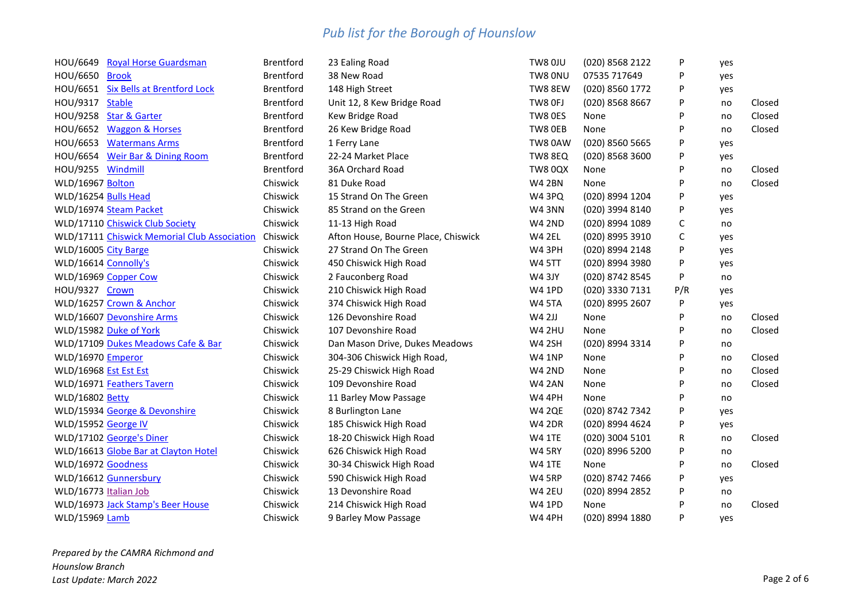| <b>Royal Horse Guardsman</b><br>HOU/6649       | <b>Brentford</b> | 23 Ealing Road                      | TW8 OJU        | (020) 8568 2122 | P   | yes |        |
|------------------------------------------------|------------------|-------------------------------------|----------------|-----------------|-----|-----|--------|
| HOU/6650 Brook                                 | <b>Brentford</b> | 38 New Road                         | TW8 0NU        | 07535 717649    | P   | yes |        |
| HOU/6651<br><b>Six Bells at Brentford Lock</b> | Brentford        | 148 High Street                     | TW8 8EW        | (020) 8560 1772 | P   | yes |        |
| HOU/9317 Stable                                | Brentford        | Unit 12, 8 Kew Bridge Road          | TW8 OFJ        | (020) 8568 8667 | P   | no  | Closed |
| HOU/9258 Star & Garter                         | Brentford        | Kew Bridge Road                     | TW8 0ES        | None            | P   | no  | Closed |
| HOU/6652 Waggon & Horses                       | Brentford        | 26 Kew Bridge Road                  | TW8 OEB        | None            | P   | no  | Closed |
| HOU/6653 Watermans Arms                        | Brentford        | 1 Ferry Lane                        | TW8 0AW        | (020) 8560 5665 | P   | yes |        |
| HOU/6654 Weir Bar & Dining Room                | <b>Brentford</b> | 22-24 Market Place                  | TW8 8EQ        | (020) 8568 3600 | P   | yes |        |
| HOU/9255 Windmill                              | Brentford        | 36A Orchard Road                    | <b>TW8 0QX</b> | None            | P   | no  | Closed |
| WLD/16967 Bolton                               | Chiswick         | 81 Duke Road                        | <b>W4 2BN</b>  | None            | P   | no  | Closed |
| WLD/16254 Bulls Head                           | Chiswick         | 15 Strand On The Green              | W4 3PQ         | (020) 8994 1204 | P   | yes |        |
| WLD/16974 Steam Packet                         | Chiswick         | 85 Strand on the Green              | <b>W4 3NN</b>  | (020) 3994 8140 | P   | yes |        |
| WLD/17110 Chiswick Club Society                | Chiswick         | 11-13 High Road                     | <b>W4 2ND</b>  | (020) 8994 1089 | С   | no  |        |
| WLD/17111 Chiswick Memorial Club Association   | Chiswick         | Afton House, Bourne Place, Chiswick | W4 2EL         | (020) 8995 3910 | С   | yes |        |
| WLD/16005 City Barge                           | Chiswick         | 27 Strand On The Green              | W4 3PH         | (020) 8994 2148 | P   | yes |        |
| WLD/16614 Connolly's                           | Chiswick         | 450 Chiswick High Road              | <b>W4 5TT</b>  | (020) 8994 3980 | P   | yes |        |
| WLD/16969 Copper Cow                           | Chiswick         | 2 Fauconberg Road                   | <b>W4 3JY</b>  | (020) 8742 8545 | P   | no  |        |
| HOU/9327 Crown                                 | Chiswick         | 210 Chiswick High Road              | <b>W4 1PD</b>  | (020) 3330 7131 | P/R | yes |        |
| WLD/16257 Crown & Anchor                       | Chiswick         | 374 Chiswick High Road              | <b>W4 5TA</b>  | (020) 8995 2607 | P   | yes |        |
| WLD/16607 Devonshire Arms                      | Chiswick         | 126 Devonshire Road                 | <b>W4 2JJ</b>  | None            | P   | no  | Closed |
| WLD/15982 Duke of York                         | Chiswick         | 107 Devonshire Road                 | <b>W4 2HU</b>  | None            | P   | no  | Closed |
| WLD/17109 Dukes Meadows Cafe & Bar             | Chiswick         | Dan Mason Drive, Dukes Meadows      | <b>W4 2SH</b>  | (020) 8994 3314 | P   | no  |        |
| WLD/16970 Emperor                              | Chiswick         | 304-306 Chiswick High Road,         | <b>W4 1NP</b>  | None            | P   | no  | Closed |
| WLD/16968 <b>Est Est Est</b>                   | Chiswick         | 25-29 Chiswick High Road            | <b>W4 2ND</b>  | None            | P   | no  | Closed |
| WLD/16971 Feathers Tavern                      | Chiswick         | 109 Devonshire Road                 | <b>W4 2AN</b>  | None            | P   | no  | Closed |
| WLD/16802 Betty                                | Chiswick         | 11 Barley Mow Passage               | <b>W4 4PH</b>  | None            | P   | no  |        |
| WLD/15934 George & Devonshire                  | Chiswick         | 8 Burlington Lane                   | <b>W4 2QE</b>  | (020) 8742 7342 | P   | yes |        |
| WLD/15952 George IV                            | Chiswick         | 185 Chiswick High Road              | <b>W4 2DR</b>  | (020) 8994 4624 | P   | yes |        |
| WLD/17102 George's Diner                       | Chiswick         | 18-20 Chiswick High Road            | <b>W4 1TE</b>  | (020) 3004 5101 | R   | no  | Closed |
| WLD/16613 Globe Bar at Clayton Hotel           | Chiswick         | 626 Chiswick High Road              | <b>W4 5RY</b>  | (020) 8996 5200 | P   | no  |        |
| WLD/16972 Goodness                             | Chiswick         | 30-34 Chiswick High Road            | <b>W4 1TE</b>  | None            | P   | no  | Closed |
| WLD/16612 Gunnersbury                          | Chiswick         | 590 Chiswick High Road              | <b>W4 5RP</b>  | (020) 8742 7466 | P   | yes |        |
| WLD/16773 Italian Job                          | Chiswick         | 13 Devonshire Road                  | <b>W4 2EU</b>  | (020) 8994 2852 | P   | no  |        |
| WLD/16973 Jack Stamp's Beer House              | Chiswick         | 214 Chiswick High Road              | <b>W4 1PD</b>  | None            | P   | no  | Closed |
| <b>WLD/15969 Lamb</b>                          | Chiswick         | 9 Barley Mow Passage                | <b>W4 4PH</b>  | (020) 8994 1880 | P   | ves |        |

*Prepared by the CAMRA Richmond and Hounslow Branch Last Update: March 2022* Page 2 of 6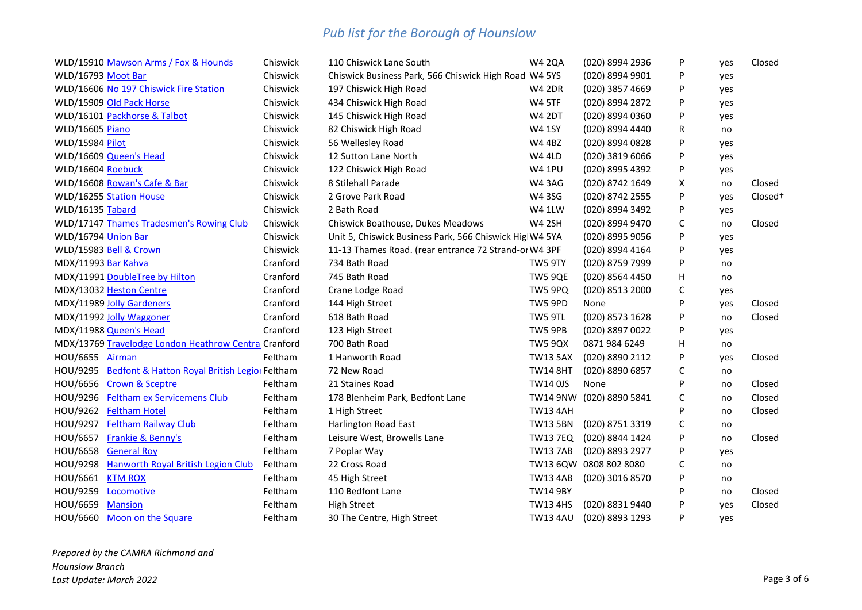| WLD/15910 Mawson Arms / Fox & Hounds                   | Chiswick | 110 Chiswick Lane South                                 | <b>W4 2QA</b>   | (020) 8994 2936          | P           | yes | Closed              |
|--------------------------------------------------------|----------|---------------------------------------------------------|-----------------|--------------------------|-------------|-----|---------------------|
| WLD/16793 Moot Bar                                     | Chiswick | Chiswick Business Park, 566 Chiswick High Road W4 5YS   |                 | (020) 8994 9901          | P           | yes |                     |
| WLD/16606 No 197 Chiswick Fire Station                 | Chiswick | 197 Chiswick High Road                                  | <b>W4 2DR</b>   | (020) 3857 4669          | P           | yes |                     |
| WLD/15909 Old Pack Horse                               | Chiswick | 434 Chiswick High Road                                  | <b>W4 5TF</b>   | (020) 8994 2872          | P           | yes |                     |
| WLD/16101 Packhorse & Talbot                           | Chiswick | 145 Chiswick High Road                                  | <b>W4 2DT</b>   | (020) 8994 0360          | P           | yes |                     |
| WLD/16605 Piano                                        | Chiswick | 82 Chiswick High Road                                   | <b>W4 1SY</b>   | (020) 8994 4440          | R           | no  |                     |
| WLD/15984 Pilot                                        | Chiswick | 56 Wellesley Road                                       | <b>W4 4BZ</b>   | (020) 8994 0828          | P           | yes |                     |
| WLD/16609 Queen's Head                                 | Chiswick | 12 Sutton Lane North                                    | <b>W4 4LD</b>   | (020) 3819 6066          | P           | yes |                     |
| WLD/16604 Roebuck                                      | Chiswick | 122 Chiswick High Road                                  | <b>W4 1PU</b>   | (020) 8995 4392          | P           | yes |                     |
| WLD/16608 Rowan's Cafe & Bar                           | Chiswick | 8 Stilehall Parade                                      | <b>W4 3AG</b>   | (020) 8742 1649          | X           | no  | Closed              |
| WLD/16255 Station House                                | Chiswick | 2 Grove Park Road                                       | <b>W43SG</b>    | (020) 8742 2555          | P           | yes | Closed <sup>+</sup> |
| WLD/16135 Tabard                                       | Chiswick | 2 Bath Road                                             | W4 1LW          | (020) 8994 3492          | P           | yes |                     |
| WLD/17147 Thames Tradesmen's Rowing Club               | Chiswick | Chiswick Boathouse, Dukes Meadows                       | <b>W4 2SH</b>   | (020) 8994 9470          | C           | no  | Closed              |
| WLD/16794 Union Bar                                    | Chiswick | Unit 5, Chiswick Business Park, 566 Chiswick Hig W4 5YA |                 | (020) 8995 9056          | P           | yes |                     |
| WLD/15983 Bell & Crown                                 | Chiswick | 11-13 Thames Road. (rear entrance 72 Strand-or W4 3PF   |                 | (020) 8994 4164          | P           | yes |                     |
| MDX/11993 Bar Kahva                                    | Cranford | 734 Bath Road                                           | TW5 9TY         | (020) 8759 7999          | P           | no  |                     |
| MDX/11991 DoubleTree by Hilton                         | Cranford | 745 Bath Road                                           | TW5 9QE         | (020) 8564 4450          | н           | no  |                     |
| MDX/13032 Heston Centre                                | Cranford | Crane Lodge Road                                        | TW5 9PQ         | (020) 8513 2000          | C           | yes |                     |
| MDX/11989 Jolly Gardeners                              | Cranford | 144 High Street                                         | TW5 9PD         | None                     | P           | yes | Closed              |
| MDX/11992 Jolly Waggoner                               | Cranford | 618 Bath Road                                           | TW5 9TL         | (020) 8573 1628          | P           | no  | Closed              |
| MDX/11988 Queen's Head                                 | Cranford | 123 High Street                                         | TW5 9PB         | (020) 8897 0022          | P           | yes |                     |
| MDX/13769 Travelodge London Heathrow Central Cranford  |          | 700 Bath Road                                           | <b>TW5 9QX</b>  | 0871 984 6249            | н           | no  |                     |
| HOU/6655 Airman                                        | Feltham  | 1 Hanworth Road                                         | <b>TW13 5AX</b> | (020) 8890 2112          | P           | yes | Closed              |
| HOU/9295 Bedfont & Hatton Royal British Legior Feltham |          | 72 New Road                                             | <b>TW14 8HT</b> | (020) 8890 6857          | $\mathsf C$ | no  |                     |
| HOU/6656 Crown & Sceptre                               | Feltham  | 21 Staines Road                                         | <b>TW14 0JS</b> | None                     | P           | no  | Closed              |
| HOU/9296 Feltham ex Servicemens Club                   | Feltham  | 178 Blenheim Park, Bedfont Lane                         |                 | TW14 9NW (020) 8890 5841 | $\mathsf C$ | no  | Closed              |
| HOU/9262 Feltham Hotel                                 | Feltham  | 1 High Street                                           | <b>TW13 4AH</b> |                          | P           | no  | Closed              |
| HOU/9297<br><b>Feltham Railway Club</b>                | Feltham  | Harlington Road East                                    | <b>TW13 5BN</b> | (020) 8751 3319          | C           | no  |                     |
| HOU/6657 Frankie & Benny's                             | Feltham  | Leisure West, Browells Lane                             | <b>TW13 7EQ</b> | (020) 8844 1424          | P           | no  | Closed              |
| HOU/6658 General Roy                                   | Feltham  | 7 Poplar Way                                            | <b>TW137AB</b>  | (020) 8893 2977          | P           | yes |                     |
| HOU/9298 Hanworth Royal British Legion Club            | Feltham  | 22 Cross Road                                           |                 | TW13 6QW 0808 802 8080   | C           | no  |                     |
| HOU/6661 KTM ROX                                       | Feltham  | 45 High Street                                          | <b>TW13 4AB</b> | (020) 3016 8570          | P           | no  |                     |
| HOU/9259 Locomotive                                    | Feltham  | 110 Bedfont Lane                                        | <b>TW14 9BY</b> |                          | P           | no  | Closed              |
| HOU/6659<br><b>Mansion</b>                             | Feltham  | <b>High Street</b>                                      | <b>TW13 4HS</b> | (020) 8831 9440          | P           | yes | Closed              |
| HOU/6660 Moon on the Square                            | Feltham  | 30 The Centre, High Street                              | <b>TW13 4AU</b> | (020) 8893 1293          | P           | yes |                     |
|                                                        |          |                                                         |                 |                          |             |     |                     |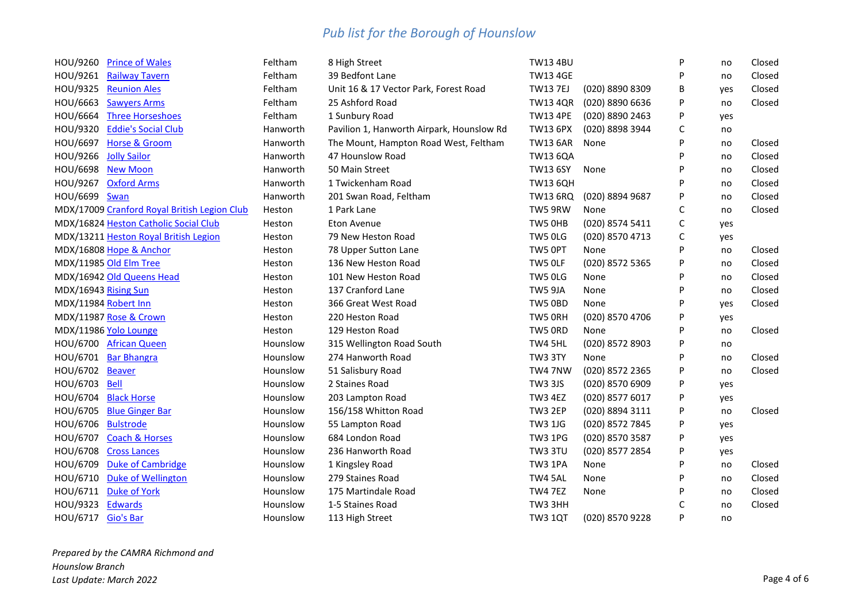| HOU/9260           | <b>Prince of Wales</b>                       | Feltham  | 8 High Street                             | <b>TW13 4BU</b> |                 | P | no  | Closed |
|--------------------|----------------------------------------------|----------|-------------------------------------------|-----------------|-----------------|---|-----|--------|
|                    | HOU/9261 Railway Tavern                      | Feltham  | 39 Bedfont Lane                           | <b>TW13 4GE</b> |                 | P | no  | Closed |
| HOU/9325           | <b>Reunion Ales</b>                          | Feltham  | Unit 16 & 17 Vector Park, Forest Road     | <b>TW13 7EJ</b> | (020) 8890 8309 | B | yes | Closed |
| HOU/6663           | <b>Sawyers Arms</b>                          | Feltham  | 25 Ashford Road                           | <b>TW13 4QR</b> | (020) 8890 6636 | P | no  | Closed |
| HOU/6664           | <b>Three Horseshoes</b>                      | Feltham  | 1 Sunbury Road                            | <b>TW13 4PE</b> | (020) 8890 2463 | P | yes |        |
| HOU/9320           | <b>Eddie's Social Club</b>                   | Hanworth | Pavilion 1, Hanworth Airpark, Hounslow Rd | <b>TW13 6PX</b> | (020) 8898 3944 | С | no  |        |
| HOU/6697           | <b>Horse &amp; Groom</b>                     | Hanworth | The Mount, Hampton Road West, Feltham     | <b>TW13 6AR</b> | None            | P | no  | Closed |
| HOU/9266           | <b>Jolly Sailor</b>                          | Hanworth | 47 Hounslow Road                          | <b>TW13 6QA</b> |                 | P | no  | Closed |
|                    | HOU/6698 New Moon                            | Hanworth | 50 Main Street                            | <b>TW13 6SY</b> | None            | P | no  | Closed |
| HOU/9267           | <b>Oxford Arms</b>                           | Hanworth | 1 Twickenham Road                         | <b>TW13 6QH</b> |                 | P | no  | Closed |
| HOU/6699 Swan      |                                              | Hanworth | 201 Swan Road, Feltham                    | TW13 6RQ        | (020) 8894 9687 | P | no  | Closed |
|                    | MDX/17009 Cranford Royal British Legion Club | Heston   | 1 Park Lane                               | TW5 9RW         | None            | С | no  | Closed |
|                    | MDX/16824 Heston Catholic Social Club        | Heston   | <b>Eton Avenue</b>                        | TW5 OHB         | (020) 8574 5411 | C | yes |        |
|                    | MDX/13211 Heston Royal British Legion        | Heston   | 79 New Heston Road                        | TW5 OLG         | (020) 8570 4713 | С | yes |        |
|                    | MDX/16808 Hope & Anchor                      | Heston   | 78 Upper Sutton Lane                      | TW5 OPT         | None            | P | no  | Closed |
|                    | MDX/11985 Old Elm Tree                       | Heston   | 136 New Heston Road                       | TW5 OLF         | (020) 8572 5365 | P | no  | Closed |
|                    | MDX/16942 Old Queens Head                    | Heston   | 101 New Heston Road                       | TW5 OLG         | None            | P | no  | Closed |
|                    | MDX/16943 Rising Sun                         | Heston   | 137 Cranford Lane                         | TW5 9JA         | None            | P | no  | Closed |
|                    | MDX/11984 Robert Inn                         | Heston   | 366 Great West Road                       | TW5 0BD         | None            | P | yes | Closed |
|                    | MDX/11987 Rose & Crown                       | Heston   | 220 Heston Road                           | TW5 ORH         | (020) 8570 4706 | P | yes |        |
|                    | MDX/11986 Yolo Lounge                        | Heston   | 129 Heston Road                           | TW5 ORD         | None            | P | no  | Closed |
|                    | HOU/6700 African Queen                       | Hounslow | 315 Wellington Road South                 | TW4 5HL         | (020) 8572 8903 | P | no  |        |
|                    | HOU/6701 Bar Bhangra                         | Hounslow | 274 Hanworth Road                         | TW3 3TY         | None            | P | no  | Closed |
| HOU/6702           | Beaver                                       | Hounslow | 51 Salisbury Road                         | TW4 7NW         | (020) 8572 2365 | P | no  | Closed |
| HOU/6703           | Bell                                         | Hounslow | 2 Staines Road                            | <b>TW3 3JS</b>  | (020) 8570 6909 | P | yes |        |
|                    | HOU/6704 Black Horse                         | Hounslow | 203 Lampton Road                          | TW3 4EZ         | (020) 8577 6017 | P | yes |        |
| HOU/6705           | <b>Blue Ginger Bar</b>                       | Hounslow | 156/158 Whitton Road                      | TW3 2EP         | (020) 8894 3111 | P | no  | Closed |
| HOU/6706           | <b>Bulstrode</b>                             | Hounslow | 55 Lampton Road                           | <b>TW3 1JG</b>  | (020) 8572 7845 | P | yes |        |
| HOU/6707           | <b>Coach &amp; Horses</b>                    | Hounslow | 684 London Road                           | <b>TW3 1PG</b>  | (020) 8570 3587 | P | yes |        |
| HOU/6708           | <b>Cross Lances</b>                          | Hounslow | 236 Hanworth Road                         | TW3 3TU         | (020) 8577 2854 | P | yes |        |
| HOU/6709           | <b>Duke of Cambridge</b>                     | Hounslow | 1 Kingsley Road                           | TW3 1PA         | None            | P | no  | Closed |
| HOU/6710           | <b>Duke of Wellington</b>                    | Hounslow | 279 Staines Road                          | TW4 5AL         | None            | P | no  | Closed |
| HOU/6711           | <b>Duke of York</b>                          | Hounslow | 175 Martindale Road                       | <b>TW4 7EZ</b>  | None            | P | no  | Closed |
| HOU/9323           | <b>Edwards</b>                               | Hounslow | 1-5 Staines Road                          | TW3 3HH         |                 | C | no  | Closed |
| HOU/6717 Gio's Bar |                                              | Hounslow | 113 High Street                           | <b>TW3 1QT</b>  | (020) 8570 9228 | P | no  |        |

*Prepared by the CAMRA Richmond and Hounslow Branch Last Update: March 2022* Page 4 of 6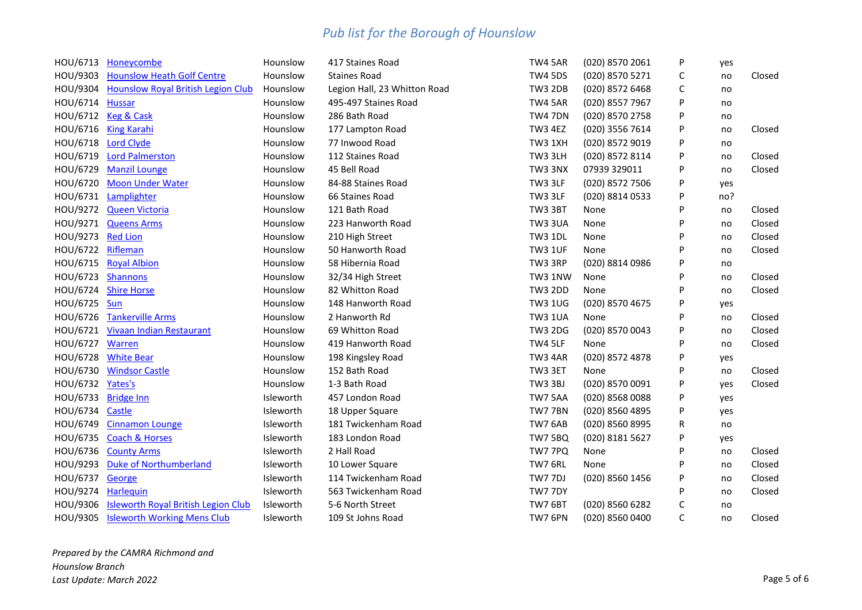|                     | HOU/6713 Honeycombe                          | Hounslow         | 417 Staines Road             | TW4 5AR        | (020) 8570 2061 | P | yes |        |
|---------------------|----------------------------------------------|------------------|------------------------------|----------------|-----------------|---|-----|--------|
|                     | HOU/9303 Hounslow Heath Golf Centre          | Hounslow         | <b>Staines Road</b>          | <b>TW4 5DS</b> | (020) 8570 5271 | С | no  | Closed |
|                     | HOU/9304 Hounslow Royal British Legion Club  | Hounslow         | Legion Hall, 23 Whitton Road | <b>TW3 2DB</b> | (020) 8572 6468 | C | no  |        |
| HOU/6714 Hussar     |                                              | Hounslow         | 495-497 Staines Road         | TW4 5AR        | (020) 8557 7967 | P | no  |        |
|                     | HOU/6712 Keg & Cask                          | Hounslow         | 286 Bath Road                | <b>TW4 7DN</b> | (020) 8570 2758 | P | no  |        |
|                     | HOU/6716 King Karahi                         | Hounslow         | 177 Lampton Road             | TW3 4EZ        | (020) 3556 7614 | P | no  | Closed |
|                     | HOU/6718 Lord Clyde                          | Hounslow         | 77 Inwood Road               | TW3 1XH        | (020) 8572 9019 | P | no  |        |
|                     | HOU/6719 Lord Palmerston                     | Hounslow         | 112 Staines Road             | TW3 3LH        | (020) 8572 8114 | P | no  | Closed |
|                     | HOU/6729 Manzil Lounge                       | Hounslow         | 45 Bell Road                 | TW3 3NX        | 07939 329011    | P | no  | Closed |
|                     | HOU/6720 Moon Under Water                    | Hounslow         | 84-88 Staines Road           | TW3 3LF        | (020) 8572 7506 | P | yes |        |
|                     | HOU/6731 Lamplighter                         | Hounslow         | 66 Staines Road              | TW3 3LF        | (020) 8814 0533 | P | no? |        |
|                     | HOU/9272 Queen Victoria                      | Hounslow         | 121 Bath Road                | TW3 3BT        | None            | P | no  | Closed |
|                     | HOU/9271 Queens Arms                         | Hounslow         | 223 Hanworth Road            | <b>TW3 3UA</b> | None            | P | no  | Closed |
| HOU/9273 Red Lion   |                                              | Hounslow         | 210 High Street              | <b>TW3 1DL</b> | None            | P | no  | Closed |
| HOU/6722 Rifleman   |                                              | Hounslow         | 50 Hanworth Road             | <b>TW3 1UF</b> | None            | P | no  | Closed |
|                     | HOU/6715 Royal Albion                        | Hounslow         | 58 Hibernia Road             | TW3 3RP        | (020) 8814 0986 | P | no  |        |
| HOU/6723 Shannons   |                                              | Hounslow         | 32/34 High Street            | <b>TW3 1NW</b> | None            | P | no  | Closed |
|                     | HOU/6724 Shire Horse                         | Hounslow         | 82 Whitton Road              | <b>TW3 2DD</b> | None            | P | no  | Closed |
| HOU/6725 Sun        |                                              | Hounslow         | 148 Hanworth Road            | <b>TW3 1UG</b> | (020) 8570 4675 | P | yes |        |
|                     | HOU/6726 Tankerville Arms                    | Hounslow         | 2 Hanworth Rd                | <b>TW3 1UA</b> | None            | P | no  | Closed |
|                     | HOU/6721 Vivaan Indian Restaurant            | Hounslow         | 69 Whitton Road              | <b>TW3 2DG</b> | (020) 8570 0043 | P | no  | Closed |
| HOU/6727 Warren     |                                              | Hounslow         | 419 Hanworth Road            | TW4 5LF        | None            | P | no  | Closed |
| HOU/6728            | <b>White Bear</b>                            | Hounslow         | 198 Kingsley Road            | TW3 4AR        | (020) 8572 4878 | P | yes |        |
| HOU/6730            | <b>Windsor Castle</b>                        | Hounslow         | 152 Bath Road                | TW3 3ET        | None            | P | no  | Closed |
| HOU/6732 Yates's    |                                              | Hounslow         | 1-3 Bath Road                | <b>TW3 3BJ</b> | (020) 8570 0091 | P | yes | Closed |
| HOU/6733 Bridge Inn |                                              | Isleworth        | 457 London Road              | TW7 5AA        | (020) 8568 0088 | P | yes |        |
| HOU/6734 Castle     |                                              | Isleworth        | 18 Upper Square              | TW77BN         | (020) 8560 4895 | P | yes |        |
|                     | HOU/6749 Cinnamon Lounge                     | Isleworth        | 181 Twickenham Road          | TW7 6AB        | (020) 8560 8995 | R | no  |        |
|                     | HOU/6735 Coach & Horses                      | Isleworth        | 183 London Road              | <b>TW7 5BQ</b> | (020) 8181 5627 | P | yes |        |
| HOU/6736            | <b>County Arms</b>                           | Isleworth        | 2 Hall Road                  | TW7 7PQ        | None            | P | no  | Closed |
|                     | HOU/9293 Duke of Northumberland              | Isleworth        | 10 Lower Square              | TW7 6RL        | None            | P | no  | Closed |
| HOU/6737 George     |                                              | Isleworth        | 114 Twickenham Road          | TW7 7DJ        | (020) 8560 1456 | P | no  | Closed |
| HOU/9274 Harlequin  |                                              | Isleworth        | 563 Twickenham Road          | TW7 7DY        |                 | P | no  | Closed |
|                     | HOU/9306 Isleworth Royal British Legion Club | <b>Isleworth</b> | 5-6 North Street             | TW7 6BT        | (020) 8560 6282 | C | no  |        |
|                     | HOU/9305 Isleworth Working Mens Club         | Isleworth        | 109 St Johns Road            | TW7 6PN        | (020) 8560 0400 | C | no  | Closed |